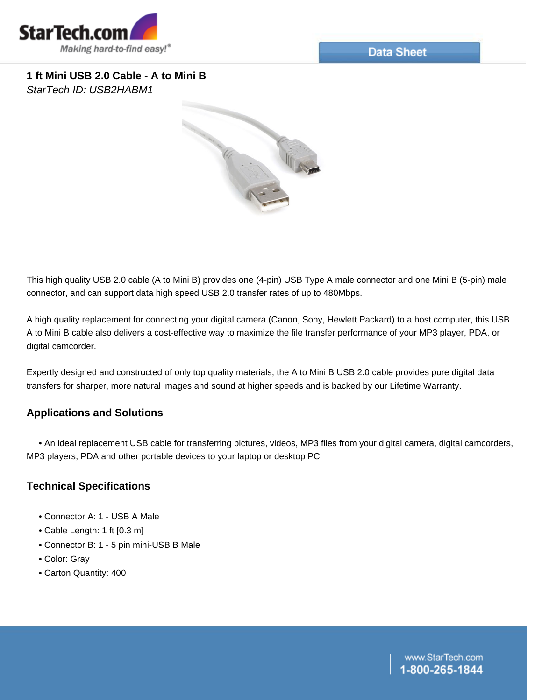

**1 ft Mini USB 2.0 Cable - A to Mini B** *StarTech ID: USB2HABM1*



This high quality USB 2.0 cable (A to Mini B) provides one (4-pin) USB Type A male connector and one Mini B (5-pin) male connector, and can support data high speed USB 2.0 transfer rates of up to 480Mbps.

A high quality replacement for connecting your digital camera (Canon, Sony, Hewlett Packard) to a host computer, this USB A to Mini B cable also delivers a cost-effective way to maximize the file transfer performance of your MP3 player, PDA, or digital camcorder.

Expertly designed and constructed of only top quality materials, the A to Mini B USB 2.0 cable provides pure digital data transfers for sharper, more natural images and sound at higher speeds and is backed by our Lifetime Warranty.

## **Applications and Solutions**

 • An ideal replacement USB cable for transferring pictures, videos, MP3 files from your digital camera, digital camcorders, MP3 players, PDA and other portable devices to your laptop or desktop PC

## **Technical Specifications**

- Connector A: 1 USB A Male
- Cable Length: 1 ft [0.3 m]
- Connector B: 1 5 pin mini-USB B Male
- Color: Gray
- Carton Quantity: 400

www.StarTech.com -800-265-1844